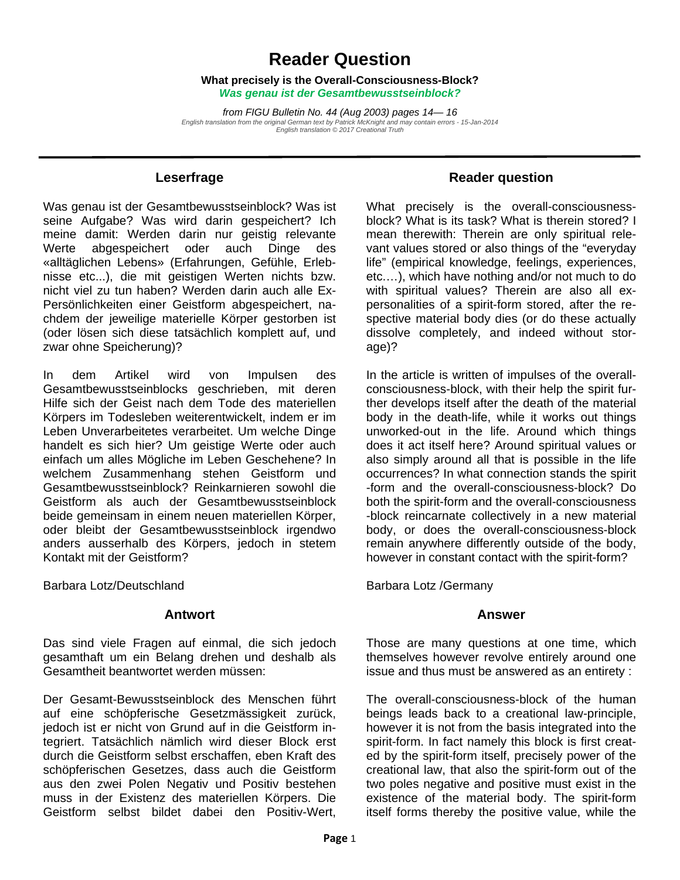# **Reader Question**

**What precisely is the Overall-Consciousness-Block?**  *Was genau ist der Gesamtbewusstseinblock?* 

*from FIGU Bulletin No. 44 (Aug 2003) pages 14— 16 English translation from the original German text by Patrick McKnight and may contain errors - 15-Jan-2014 English translation © 2017 Creational Truth* 

#### **Leserfrage**

Was genau ist der Gesamtbewusstseinblock? Was ist seine Aufgabe? Was wird darin gespeichert? Ich meine damit: Werden darin nur geistig relevante Werte abgespeichert oder auch Dinge des «alltäglichen Lebens» (Erfahrungen, Gefühle, Erlebnisse etc...), die mit geistigen Werten nichts bzw. nicht viel zu tun haben? Werden darin auch alle Ex-Persönlichkeiten einer Geistform abgespeichert, nachdem der jeweilige materielle Körper gestorben ist (oder lösen sich diese tatsächlich komplett auf, und zwar ohne Speicherung)?

In dem Artikel wird von Impulsen des Gesamtbewusstseinblocks geschrieben, mit deren Hilfe sich der Geist nach dem Tode des materiellen Körpers im Todesleben weiterentwickelt, indem er im Leben Unverarbeitetes verarbeitet. Um welche Dinge handelt es sich hier? Um geistige Werte oder auch einfach um alles Mögliche im Leben Geschehene? In welchem Zusammenhang stehen Geistform und Gesamtbewusstseinblock? Reinkarnieren sowohl die Geistform als auch der Gesamtbewusstseinblock beide gemeinsam in einem neuen materiellen Körper, oder bleibt der Gesamtbewusstseinblock irgendwo anders ausserhalb des Körpers, jedoch in stetem Kontakt mit der Geistform?

Barbara Lotz/Deutschland

#### **Antwort**

Das sind viele Fragen auf einmal, die sich jedoch gesamthaft um ein Belang drehen und deshalb als Gesamtheit beantwortet werden müssen:

Der Gesamt-Bewusstseinblock des Menschen führt auf eine schöpferische Gesetzmässigkeit zurück, jedoch ist er nicht von Grund auf in die Geistform integriert. Tatsächlich nämlich wird dieser Block erst durch die Geistform selbst erschaffen, eben Kraft des schöpferischen Gesetzes, dass auch die Geistform aus den zwei Polen Negativ und Positiv bestehen muss in der Existenz des materiellen Körpers. Die Geistform selbst bildet dabei den Positiv-Wert,

#### **Reader question**

What precisely is the overall-consciousnessblock? What is its task? What is therein stored? I mean therewith: Therein are only spiritual relevant values stored or also things of the "everyday life" (empirical knowledge, feelings, experiences, etc.…), which have nothing and/or not much to do with spiritual values? Therein are also all expersonalities of a spirit-form stored, after the respective material body dies (or do these actually dissolve completely, and indeed without storage)?

In the article is written of impulses of the overallconsciousness-block, with their help the spirit further develops itself after the death of the material body in the death-life, while it works out things unworked-out in the life. Around which things does it act itself here? Around spiritual values or also simply around all that is possible in the life occurrences? In what connection stands the spirit -form and the overall-consciousness-block? Do both the spirit-form and the overall-consciousness -block reincarnate collectively in a new material body, or does the overall-consciousness-block remain anywhere differently outside of the body, however in constant contact with the spirit-form?

Barbara Lotz /Germany

#### **Answer**

Those are many questions at one time, which themselves however revolve entirely around one issue and thus must be answered as an entirety :

The overall-consciousness-block of the human beings leads back to a creational law-principle, however it is not from the basis integrated into the spirit-form. In fact namely this block is first created by the spirit-form itself, precisely power of the creational law, that also the spirit-form out of the two poles negative and positive must exist in the existence of the material body. The spirit-form itself forms thereby the positive value, while the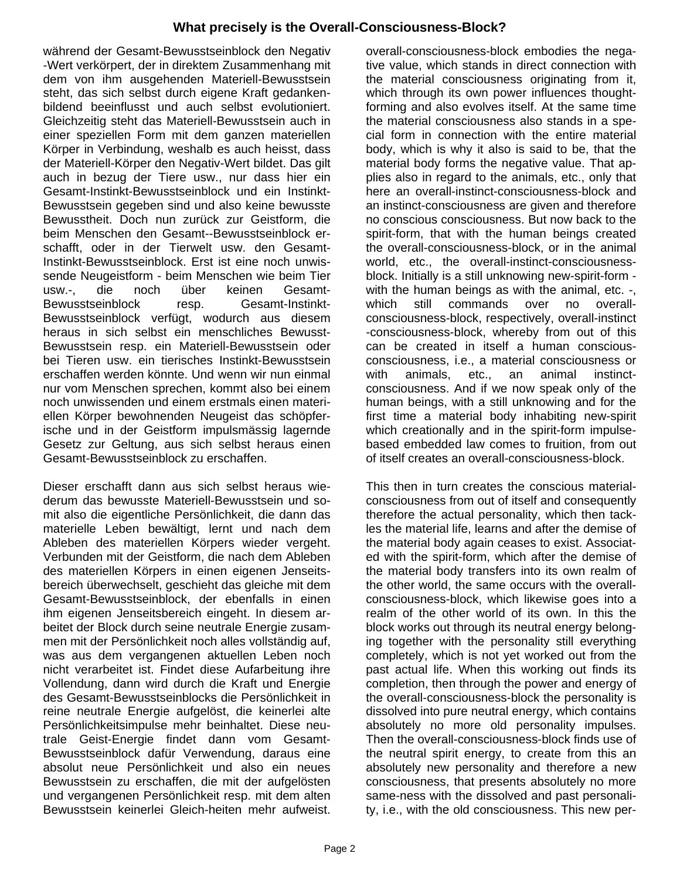## **What precisely is the Overall-Consciousness-Block?**

 während der Gesamt-Bewusstseinblock den Negativ -Wert verkörpert, der in direktem Zusammenhang mit dem von ihm ausgehenden Materiell-Bewusstsein steht, das sich selbst durch eigene Kraft gedankenbildend beeinflusst und auch selbst evolutioniert. Gleichzeitig steht das Materiell-Bewusstsein auch in einer speziellen Form mit dem ganzen materiellen Körper in Verbindung, weshalb es auch heisst, dass der Materiell-Körper den Negativ-Wert bildet. Das gilt auch in bezug der Tiere usw., nur dass hier ein Gesamt-Instinkt-Bewusstseinblock und ein Instinkt-Bewusstsein gegeben sind und also keine bewusste Bewusstheit. Doch nun zurück zur Geistform, die beim Menschen den Gesamt--Bewusstseinblock erschafft, oder in der Tierwelt usw. den Gesamt-Instinkt-Bewusstseinblock. Erst ist eine noch unwissende Neugeistform - beim Menschen wie beim Tier usw.-, die noch über keinen Gesamt-Bewusstseinblock resp. Gesamt-Instinkt-Bewusstseinblock verfügt, wodurch aus diesem heraus in sich selbst ein menschliches Bewusst-Bewusstsein resp. ein Materiell-Bewusstsein oder bei Tieren usw. ein tierisches Instinkt-Bewusstsein erschaffen werden könnte. Und wenn wir nun einmal nur vom Menschen sprechen, kommt also bei einem noch unwissenden und einem erstmals einen materiellen Körper bewohnenden Neugeist das schöpferische und in der Geistform impulsmässig lagernde Gesetz zur Geltung, aus sich selbst heraus einen Gesamt-Bewusstseinblock zu erschaffen.

Dieser erschafft dann aus sich selbst heraus wiederum das bewusste Materiell-Bewusstsein und somit also die eigentliche Persönlichkeit, die dann das materielle Leben bewältigt, lernt und nach dem Ableben des materiellen Körpers wieder vergeht. Verbunden mit der Geistform, die nach dem Ableben des materiellen Körpers in einen eigenen Jenseitsbereich überwechselt, geschieht das gleiche mit dem Gesamt-Bewusstseinblock, der ebenfalls in einen ihm eigenen Jenseitsbereich eingeht. In diesem arbeitet der Block durch seine neutrale Energie zusammen mit der Persönlichkeit noch alles vollständig auf, was aus dem vergangenen aktuellen Leben noch nicht verarbeitet ist. Findet diese Aufarbeitung ihre Vollendung, dann wird durch die Kraft und Energie des Gesamt-Bewusstseinblocks die Persönlichkeit in reine neutrale Energie aufgelöst, die keinerlei alte Persönlichkeitsimpulse mehr beinhaltet. Diese neutrale Geist-Energie findet dann vom Gesamt-Bewusstseinblock dafür Verwendung, daraus eine absolut neue Persönlichkeit und also ein neues Bewusstsein zu erschaffen, die mit der aufgelösten und vergangenen Persönlichkeit resp. mit dem alten Bewusstsein keinerlei Gleich-heiten mehr aufweist.

overall-consciousness-block embodies the negative value, which stands in direct connection with the material consciousness originating from it, which through its own power influences thoughtforming and also evolves itself. At the same time the material consciousness also stands in a special form in connection with the entire material body, which is why it also is said to be, that the material body forms the negative value. That applies also in regard to the animals, etc., only that here an overall-instinct-consciousness-block and an instinct-consciousness are given and therefore no conscious consciousness. But now back to the spirit-form, that with the human beings created the overall-consciousness-block, or in the animal world, etc., the overall-instinct-consciousnessblock. Initially is a still unknowing new-spirit-form with the human beings as with the animal, etc. -, which still commands over no overallconsciousness-block, respectively, overall-instinct -consciousness-block, whereby from out of this can be created in itself a human consciousconsciousness, i.e., a material consciousness or with animals, etc., an animal instinctconsciousness. And if we now speak only of the human beings, with a still unknowing and for the first time a material body inhabiting new-spirit which creationally and in the spirit-form impulsebased embedded law comes to fruition, from out of itself creates an overall-consciousness-block.

This then in turn creates the conscious materialconsciousness from out of itself and consequently therefore the actual personality, which then tackles the material life, learns and after the demise of the material body again ceases to exist. Associated with the spirit-form, which after the demise of the material body transfers into its own realm of the other world, the same occurs with the overallconsciousness-block, which likewise goes into a realm of the other world of its own. In this the block works out through its neutral energy belonging together with the personality still everything completely, which is not yet worked out from the past actual life. When this working out finds its completion, then through the power and energy of the overall-consciousness-block the personality is dissolved into pure neutral energy, which contains absolutely no more old personality impulses. Then the overall-consciousness-block finds use of the neutral spirit energy, to create from this an absolutely new personality and therefore a new consciousness, that presents absolutely no more same-ness with the dissolved and past personality, i.e., with the old consciousness. This new per-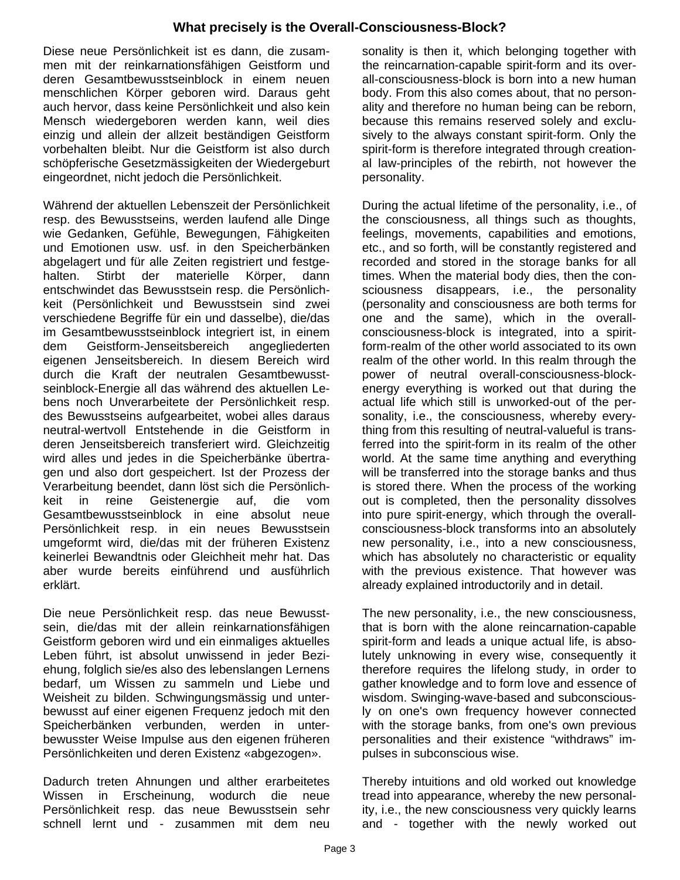## **What precisely is the Overall-Consciousness-Block?**

 Diese neue Persönlichkeit ist es dann, die zusammen mit der reinkarnationsfähigen Geistform und deren Gesamtbewusstseinblock in einem neuen menschlichen Körper geboren wird. Daraus geht auch hervor, dass keine Persönlichkeit und also kein Mensch wiedergeboren werden kann, weil dies einzig und allein der allzeit beständigen Geistform vorbehalten bleibt. Nur die Geistform ist also durch schöpferische Gesetzmässigkeiten der Wiedergeburt eingeordnet, nicht jedoch die Persönlichkeit.

Während der aktuellen Lebenszeit der Persönlichkeit resp. des Bewusstseins, werden laufend alle Dinge wie Gedanken, Gefühle, Bewegungen, Fähigkeiten und Emotionen usw. usf. in den Speicherbänken abgelagert und für alle Zeiten registriert und festgehalten. Stirbt der materielle Körper, dann entschwindet das Bewusstsein resp. die Persönlichkeit (Persönlichkeit und Bewusstsein sind zwei verschiedene Begriffe für ein und dasselbe), die/das im Gesamtbewusstseinblock integriert ist, in einem dem Geistform-Jenseitsbereich angegliederten eigenen Jenseitsbereich. In diesem Bereich wird durch die Kraft der neutralen Gesamtbewusstseinblock-Energie all das während des aktuellen Lebens noch Unverarbeitete der Persönlichkeit resp. des Bewusstseins aufgearbeitet, wobei alles daraus neutral-wertvoll Entstehende in die Geistform in deren Jenseitsbereich transferiert wird. Gleichzeitig wird alles und jedes in die Speicherbänke übertragen und also dort gespeichert. Ist der Prozess der Verarbeitung beendet, dann löst sich die Persönlichkeit in reine Geistenergie auf, die vom Gesamtbewusstseinblock in eine absolut neue Persönlichkeit resp. in ein neues Bewusstsein umgeformt wird, die/das mit der früheren Existenz keinerlei Bewandtnis oder Gleichheit mehr hat. Das aber wurde bereits einführend und ausführlich erklärt.

Die neue Persönlichkeit resp. das neue Bewusstsein, die/das mit der allein reinkarnationsfähigen Geistform geboren wird und ein einmaliges aktuelles Leben führt, ist absolut unwissend in jeder Beziehung, folglich sie/es also des lebenslangen Lernens bedarf, um Wissen zu sammeln und Liebe und Weisheit zu bilden. Schwingungsmässig und unterbewusst auf einer eigenen Frequenz jedoch mit den Speicherbänken verbunden, werden in unterbewusster Weise Impulse aus den eigenen früheren Persönlichkeiten und deren Existenz «abgezogen».

Dadurch treten Ahnungen und alther erarbeitetes Wissen in Erscheinung, wodurch die neue Persönlichkeit resp. das neue Bewusstsein sehr schnell lernt und - zusammen mit dem neu

sonality is then it, which belonging together with the reincarnation-capable spirit-form and its overall-consciousness-block is born into a new human body. From this also comes about, that no personality and therefore no human being can be reborn, because this remains reserved solely and exclusively to the always constant spirit-form. Only the spirit-form is therefore integrated through creational law-principles of the rebirth, not however the personality.

During the actual lifetime of the personality, i.e., of the consciousness, all things such as thoughts, feelings, movements, capabilities and emotions, etc., and so forth, will be constantly registered and recorded and stored in the storage banks for all times. When the material body dies, then the consciousness disappears, i.e., the personality (personality and consciousness are both terms for one and the same), which in the overallconsciousness-block is integrated, into a spiritform-realm of the other world associated to its own realm of the other world. In this realm through the power of neutral overall-consciousness-blockenergy everything is worked out that during the actual life which still is unworked-out of the personality, i.e., the consciousness, whereby everything from this resulting of neutral-valueful is transferred into the spirit-form in its realm of the other world. At the same time anything and everything will be transferred into the storage banks and thus is stored there. When the process of the working out is completed, then the personality dissolves into pure spirit-energy, which through the overallconsciousness-block transforms into an absolutely new personality, i.e., into a new consciousness, which has absolutely no characteristic or equality with the previous existence. That however was already explained introductorily and in detail.

The new personality, i.e., the new consciousness, that is born with the alone reincarnation-capable spirit-form and leads a unique actual life, is absolutely unknowing in every wise, consequently it therefore requires the lifelong study, in order to gather knowledge and to form love and essence of wisdom. Swinging-wave-based and subconsciously on one's own frequency however connected with the storage banks, from one's own previous personalities and their existence "withdraws" impulses in subconscious wise.

Thereby intuitions and old worked out knowledge tread into appearance, whereby the new personality, i.e., the new consciousness very quickly learns and - together with the newly worked out